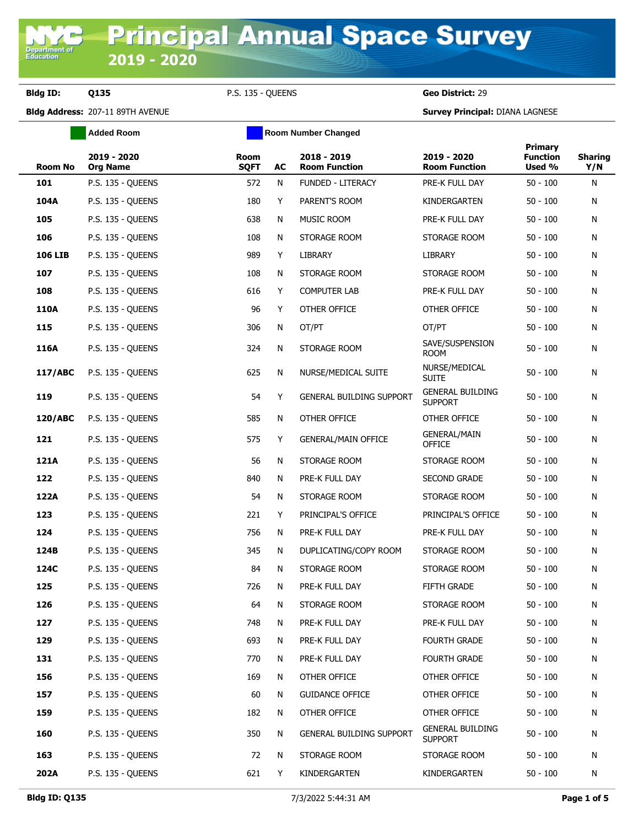**Department o**<br>Education

**Bldg ID: Q135** P.S. 135 - QUEENS **Geo District:** 29

|                | <b>Added Room</b>              |                     |    | <b>Room Number Changed</b>          |                                           |                                      |                       |
|----------------|--------------------------------|---------------------|----|-------------------------------------|-------------------------------------------|--------------------------------------|-----------------------|
| Room No        | 2019 - 2020<br><b>Org Name</b> | Room<br><b>SQFT</b> | AC | 2018 - 2019<br><b>Room Function</b> | 2019 - 2020<br><b>Room Function</b>       | Primary<br><b>Function</b><br>Used % | <b>Sharing</b><br>Y/N |
| 101            | <b>P.S. 135 - QUEENS</b>       | 572                 | N  | <b>FUNDED - LITERACY</b>            | PRE-K FULL DAY                            | $50 - 100$                           | N                     |
| 104A           | <b>P.S. 135 - QUEENS</b>       | 180                 | Y  | PARENT'S ROOM                       | KINDERGARTEN                              | $50 - 100$                           | N                     |
| 105            | <b>P.S. 135 - QUEENS</b>       | 638                 | N  | MUSIC ROOM                          | PRE-K FULL DAY                            | $50 - 100$                           | N                     |
| 106            | <b>P.S. 135 - QUEENS</b>       | 108                 | N  | STORAGE ROOM                        | STORAGE ROOM                              | $50 - 100$                           | N                     |
| <b>106 LIB</b> | P.S. 135 - OUEENS              | 989                 | Y  | <b>LIBRARY</b>                      | LIBRARY                                   | $50 - 100$                           | N                     |
| 107            | <b>P.S. 135 - QUEENS</b>       | 108                 | N  | STORAGE ROOM                        | STORAGE ROOM                              | $50 - 100$                           | N                     |
| 108            | <b>P.S. 135 - QUEENS</b>       | 616                 | Y  | <b>COMPUTER LAB</b>                 | PRE-K FULL DAY                            | $50 - 100$                           | N                     |
| 110A           | <b>P.S. 135 - QUEENS</b>       | 96                  | Y  | OTHER OFFICE                        | OTHER OFFICE                              | $50 - 100$                           | N                     |
| 115            | P.S. 135 - QUEENS              | 306                 | N  | OT/PT                               | OT/PT                                     | $50 - 100$                           | N                     |
| 116A           | <b>P.S. 135 - QUEENS</b>       | 324                 | N  | STORAGE ROOM                        | SAVE/SUSPENSION<br>ROOM                   | $50 - 100$                           | N                     |
| 117/ABC        | <b>P.S. 135 - QUEENS</b>       | 625                 | N  | NURSE/MEDICAL SUITE                 | NURSE/MEDICAL<br><b>SUITE</b>             | $50 - 100$                           | N                     |
| 119            | P.S. 135 - QUEENS              | 54                  | Y  | GENERAL BUILDING SUPPORT            | <b>GENERAL BUILDING</b><br><b>SUPPORT</b> | $50 - 100$                           | Ν                     |
| 120/ABC        | <b>P.S. 135 - QUEENS</b>       | 585                 | N  | OTHER OFFICE                        | OTHER OFFICE                              | $50 - 100$                           | N                     |
| 121            | <b>P.S. 135 - QUEENS</b>       | 575                 | Y  | <b>GENERAL/MAIN OFFICE</b>          | <b>GENERAL/MAIN</b><br><b>OFFICE</b>      | $50 - 100$                           | N                     |
| 121A           | <b>P.S. 135 - QUEENS</b>       | 56                  | N  | STORAGE ROOM                        | STORAGE ROOM                              | $50 - 100$                           | N                     |
| 122            | <b>P.S. 135 - QUEENS</b>       | 840                 | N  | PRE-K FULL DAY                      | SECOND GRADE                              | $50 - 100$                           | N                     |
| 122A           | <b>P.S. 135 - QUEENS</b>       | 54                  | N  | STORAGE ROOM                        | STORAGE ROOM                              | $50 - 100$                           | N                     |
| 123            | <b>P.S. 135 - QUEENS</b>       | 221                 | Y  | PRINCIPAL'S OFFICE                  | PRINCIPAL'S OFFICE                        | $50 - 100$                           | N                     |
| 124            | <b>P.S. 135 - QUEENS</b>       | 756                 | N  | PRE-K FULL DAY                      | PRE-K FULL DAY                            | $50 - 100$                           | N                     |
| 124B           | <b>P.S. 135 - QUEENS</b>       | 345                 | N  | DUPLICATING/COPY ROOM               | STORAGE ROOM                              | $50 - 100$                           | N                     |
| 124C           | P.S. 135 - QUEENS              | 84                  | N  | STORAGE ROOM                        | STORAGE ROOM                              | $50 - 100$                           | N                     |
| 125            | <b>P.S. 135 - OUEENS</b>       | 726                 | N  | PRE-K FULL DAY                      | FIFTH GRADE                               | $50 - 100$                           | Ν                     |
| 126            | P.S. 135 - QUEENS              | 64                  | Ν  | STORAGE ROOM                        | STORAGE ROOM                              | $50 - 100$                           | N                     |
| 127            | <b>P.S. 135 - OUEENS</b>       | 748                 | N  | PRE-K FULL DAY                      | PRE-K FULL DAY                            | $50 - 100$                           | Ν                     |
| 129            | P.S. 135 - QUEENS              | 693                 | N  | PRE-K FULL DAY                      | <b>FOURTH GRADE</b>                       | $50 - 100$                           | N                     |
| 131            | P.S. 135 - QUEENS              | 770                 | N  | PRE-K FULL DAY                      | FOURTH GRADE                              | $50 - 100$                           | N                     |
| 156            | P.S. 135 - QUEENS              | 169                 | N  | OTHER OFFICE                        | OTHER OFFICE                              | $50 - 100$                           | N                     |
| 157            | P.S. 135 - QUEENS              | 60                  | N  | <b>GUIDANCE OFFICE</b>              | OTHER OFFICE                              | $50 - 100$                           | N                     |
| 159            | P.S. 135 - QUEENS              | 182                 | N  | OTHER OFFICE                        | OTHER OFFICE                              | $50 - 100$                           | N                     |
| 160            | P.S. 135 - QUEENS              | 350                 | N  | GENERAL BUILDING SUPPORT            | <b>GENERAL BUILDING</b><br><b>SUPPORT</b> | $50 - 100$                           | N                     |
| 163            | <b>P.S. 135 - QUEENS</b>       | 72                  | N  | STORAGE ROOM                        | STORAGE ROOM                              | $50 - 100$                           | N                     |
| 202A           | P.S. 135 - QUEENS              | 621                 | Y  | KINDERGARTEN                        | KINDERGARTEN                              | $50 - 100$                           | N                     |
|                |                                |                     |    |                                     |                                           |                                      |                       |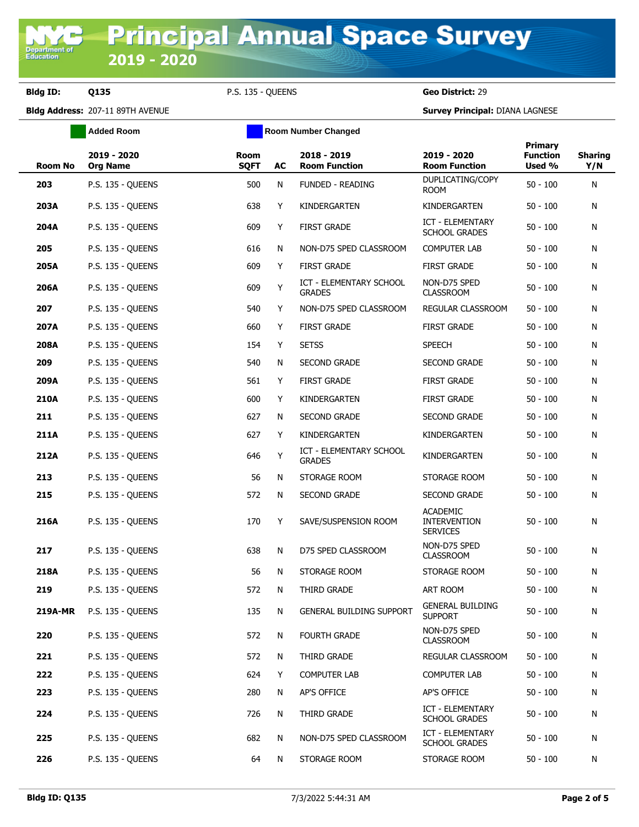**Bldg ID: Q135** P.S. 135 - QUEENS **Geo District:** 29

**Added Room Room Room Number Changed** 

| <b>Room No</b> | 2019 - 2020<br><b>Org Name</b> | Room<br><b>SQFT</b> | AC | 2018 - 2019<br><b>Room Function</b>             | 2019 - 2020<br><b>Room Function</b>                       | Primary<br><b>Function</b><br>Used % | <b>Sharing</b><br>Y/N |
|----------------|--------------------------------|---------------------|----|-------------------------------------------------|-----------------------------------------------------------|--------------------------------------|-----------------------|
| 203            | <b>P.S. 135 - QUEENS</b>       | 500                 | N  | <b>FUNDED - READING</b>                         | DUPLICATING/COPY<br><b>ROOM</b>                           | $50 - 100$                           | N                     |
| 203A           | <b>P.S. 135 - QUEENS</b>       | 638                 | Y  | KINDERGARTEN                                    | KINDERGARTEN                                              | $50 - 100$                           | N                     |
| 204A           | P.S. 135 - QUEENS              | 609                 | Y  | <b>FIRST GRADE</b>                              | ICT - ELEMENTARY<br><b>SCHOOL GRADES</b>                  | $50 - 100$                           | N                     |
| 205            | <b>P.S. 135 - OUEENS</b>       | 616                 | N  | NON-D75 SPED CLASSROOM                          | <b>COMPUTER LAB</b>                                       | $50 - 100$                           | N                     |
| 205A           | <b>P.S. 135 - QUEENS</b>       | 609                 | Y  | <b>FIRST GRADE</b>                              | <b>FIRST GRADE</b>                                        | $50 - 100$                           | N                     |
| 206A           | <b>P.S. 135 - QUEENS</b>       | 609                 | Υ  | <b>ICT - ELEMENTARY SCHOOL</b><br><b>GRADES</b> | NON-D75 SPED<br><b>CLASSROOM</b>                          | $50 - 100$                           | N                     |
| 207            | P.S. 135 - QUEENS              | 540                 | Y  | NON-D75 SPED CLASSROOM                          | REGULAR CLASSROOM                                         | $50 - 100$                           | N                     |
| 207A           | <b>P.S. 135 - QUEENS</b>       | 660                 | Y  | <b>FIRST GRADE</b>                              | <b>FIRST GRADE</b>                                        | $50 - 100$                           | N                     |
| 208A           | P.S. 135 - QUEENS              | 154                 | Y  | <b>SETSS</b>                                    | <b>SPEECH</b>                                             | $50 - 100$                           | N                     |
| 209            | <b>P.S. 135 - QUEENS</b>       | 540                 | N  | <b>SECOND GRADE</b>                             | <b>SECOND GRADE</b>                                       | $50 - 100$                           | N                     |
| 209A           | P.S. 135 - QUEENS              | 561                 | Y  | <b>FIRST GRADE</b>                              | <b>FIRST GRADE</b>                                        | $50 - 100$                           | N                     |
| 210A           | <b>P.S. 135 - QUEENS</b>       | 600                 | Y  | KINDERGARTEN                                    | <b>FIRST GRADE</b>                                        | $50 - 100$                           | N                     |
| 211            | P.S. 135 - OUEENS              | 627                 | N  | <b>SECOND GRADE</b>                             | <b>SECOND GRADE</b>                                       | $50 - 100$                           | N                     |
| 211A           | P.S. 135 - QUEENS              | 627                 | Y  | KINDERGARTEN                                    | KINDERGARTEN                                              | $50 - 100$                           | N                     |
| 212A           | P.S. 135 - QUEENS              | 646                 | Y  | <b>ICT - ELEMENTARY SCHOOL</b><br><b>GRADES</b> | KINDERGARTEN                                              | $50 - 100$                           | N                     |
| 213            | <b>P.S. 135 - QUEENS</b>       | 56                  | N  | STORAGE ROOM                                    | STORAGE ROOM                                              | $50 - 100$                           | N                     |
| 215            | P.S. 135 - QUEENS              | 572                 | N  | <b>SECOND GRADE</b>                             | <b>SECOND GRADE</b>                                       | $50 - 100$                           | N                     |
| 216A           | P.S. 135 - QUEENS              | 170                 | Y  | SAVE/SUSPENSION ROOM                            | <b>ACADEMIC</b><br><b>INTERVENTION</b><br><b>SERVICES</b> | $50 - 100$                           | N                     |
| 217            | <b>P.S. 135 - QUEENS</b>       | 638                 | N  | D75 SPED CLASSROOM                              | NON-D75 SPED<br><b>CLASSROOM</b>                          | $50 - 100$                           | N                     |
| 218A           | P.S. 135 - QUEENS              | 56                  | N  | STORAGE ROOM                                    | STORAGE ROOM                                              | $50 - 100$                           | N                     |
| 219            | P.S. 135 - QUEENS              | 572                 | N  | THIRD GRADE                                     | ART ROOM                                                  | $50 - 100$                           | N                     |
| 219A-MR        | P.S. 135 - QUEENS              | 135                 | N  | <b>GENERAL BUILDING SUPPORT</b>                 | <b>GENERAL BUILDING</b><br><b>SUPPORT</b>                 | $50 - 100$                           | N                     |
| 220            | P.S. 135 - QUEENS              | 572                 | N  | <b>FOURTH GRADE</b>                             | NON-D75 SPED<br><b>CLASSROOM</b>                          | $50 - 100$                           | N                     |
| 221            | P.S. 135 - QUEENS              | 572                 | N  | THIRD GRADE                                     | REGULAR CLASSROOM                                         | $50 - 100$                           | N                     |
| 222            | <b>P.S. 135 - QUEENS</b>       | 624                 | Y  | <b>COMPUTER LAB</b>                             | <b>COMPUTER LAB</b>                                       | $50 - 100$                           | N                     |
| 223            | <b>P.S. 135 - QUEENS</b>       | 280                 | N  | AP'S OFFICE                                     | AP'S OFFICE                                               | $50 - 100$                           | N                     |
| 224            | <b>P.S. 135 - QUEENS</b>       | 726                 | N  | THIRD GRADE                                     | ICT - ELEMENTARY<br><b>SCHOOL GRADES</b>                  | $50 - 100$                           | N                     |
| 225            | P.S. 135 - QUEENS              | 682                 | N  | NON-D75 SPED CLASSROOM                          | ICT - ELEMENTARY<br><b>SCHOOL GRADES</b>                  | $50 - 100$                           | N                     |
| 226            | <b>P.S. 135 - QUEENS</b>       | 64                  | N  | STORAGE ROOM                                    | STORAGE ROOM                                              | $50 - 100$                           | N                     |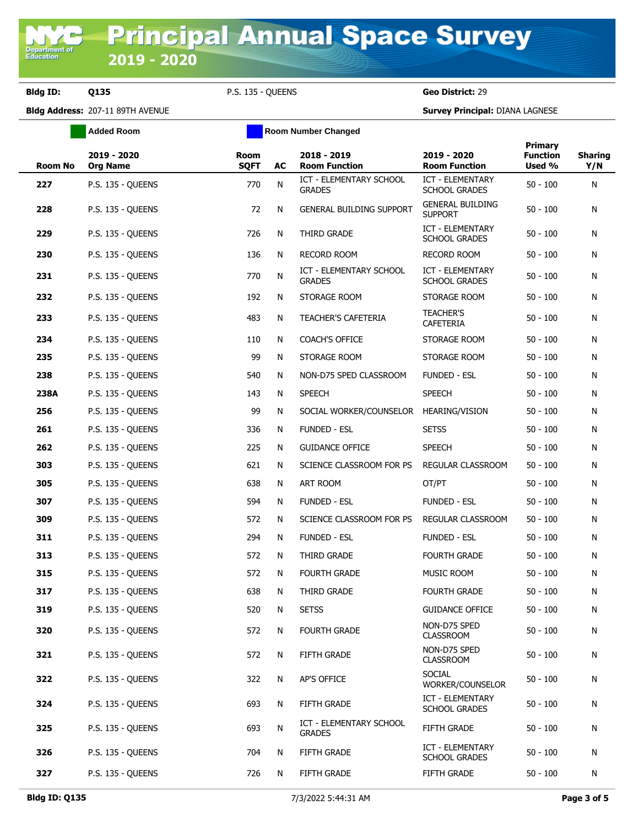**Bldg ID: Q135** P.S. 135 - QUEENS **Geo District:** 29

**Added Room Room Room Number Changed** 

| <b>Room No</b> | 2019 - 2020<br><b>Org Name</b> | Room<br><b>SQFT</b> | AC | 2018 - 2019<br><b>Room Function</b>      | 2019 - 2020<br><b>Room Function</b>             | Primary<br><b>Function</b><br>Used % | <b>Sharing</b><br>Y/N |
|----------------|--------------------------------|---------------------|----|------------------------------------------|-------------------------------------------------|--------------------------------------|-----------------------|
| 227            | <b>P.S. 135 - QUEENS</b>       | 770                 | N  | ICT - ELEMENTARY SCHOOL<br><b>GRADES</b> | ICT - ELEMENTARY<br>SCHOOL GRADES               | $50 - 100$                           | N                     |
| 228            | <b>P.S. 135 - QUEENS</b>       | 72                  | N  | <b>GENERAL BUILDING SUPPORT</b>          | <b>GENERAL BUILDING</b><br><b>SUPPORT</b>       | $50 - 100$                           | N                     |
| 229            | P.S. 135 - QUEENS              | 726                 | N  | THIRD GRADE                              | ICT - ELEMENTARY<br><b>SCHOOL GRADES</b>        | $50 - 100$                           | N                     |
| 230            | P.S. 135 - QUEENS              | 136                 | N  | <b>RECORD ROOM</b>                       | <b>RECORD ROOM</b>                              | $50 - 100$                           | N                     |
| 231            | P.S. 135 - OUEENS              | 770                 | N  | ICT - ELEMENTARY SCHOOL<br><b>GRADES</b> | ICT - ELEMENTARY<br><b>SCHOOL GRADES</b>        | $50 - 100$                           | N                     |
| 232            | P.S. 135 - QUEENS              | 192                 | N  | STORAGE ROOM                             | STORAGE ROOM                                    | $50 - 100$                           | N                     |
| 233            | P.S. 135 - QUEENS              | 483                 | N  | TEACHER'S CAFETERIA                      | <b>TEACHER'S</b><br>CAFETERIA                   | $50 - 100$                           | N                     |
| 234            | <b>P.S. 135 - QUEENS</b>       | 110                 | N  | COACH'S OFFICE                           | STORAGE ROOM                                    | $50 - 100$                           | N                     |
| 235            | P.S. 135 - QUEENS              | 99                  | N  | STORAGE ROOM                             | STORAGE ROOM                                    | $50 - 100$                           | N                     |
| 238            | <b>P.S. 135 - QUEENS</b>       | 540                 | N  | NON-D75 SPED CLASSROOM                   | <b>FUNDED - ESL</b>                             | $50 - 100$                           | N                     |
| 238A           | P.S. 135 - QUEENS              | 143                 | N  | <b>SPEECH</b>                            | <b>SPEECH</b>                                   | $50 - 100$                           | N                     |
| 256            | P.S. 135 - OUEENS              | 99                  | N  | SOCIAL WORKER/COUNSELOR HEARING/VISION   |                                                 | $50 - 100$                           | N                     |
| 261            | P.S. 135 - QUEENS              | 336                 | N  | <b>FUNDED - ESL</b>                      | <b>SETSS</b>                                    | $50 - 100$                           | N                     |
| 262            | P.S. 135 - QUEENS              | 225                 | N  | <b>GUIDANCE OFFICE</b>                   | <b>SPEECH</b>                                   | $50 - 100$                           | N                     |
| 303            | P.S. 135 - QUEENS              | 621                 | N  | SCIENCE CLASSROOM FOR PS                 | REGULAR CLASSROOM                               | $50 - 100$                           | N                     |
| 305            | <b>P.S. 135 - QUEENS</b>       | 638                 | N  | ART ROOM                                 | OT/PT                                           | $50 - 100$                           | N                     |
| 307            | P.S. 135 - QUEENS              | 594                 | N  | <b>FUNDED - ESL</b>                      | <b>FUNDED - ESL</b>                             | $50 - 100$                           | N                     |
| 309            | P.S. 135 - QUEENS              | 572                 | N  | SCIENCE CLASSROOM FOR PS                 | REGULAR CLASSROOM                               | $50 - 100$                           | N                     |
| 311            | P.S. 135 - QUEENS              | 294                 | N  | <b>FUNDED - ESL</b>                      | <b>FUNDED - ESL</b>                             | $50 - 100$                           | Ν                     |
| 313            | P.S. 135 - QUEENS              | 572                 | N  | THIRD GRADE                              | FOURTH GRADE                                    | $50 - 100$                           | N                     |
| 315            | P.S. 135 - QUEENS              | 572                 | N  | <b>FOURTH GRADE</b>                      | MUSIC ROOM                                      | $50 - 100$                           | N                     |
| 317            | P.S. 135 - QUEENS              | 638                 | N  | THIRD GRADE                              | <b>FOURTH GRADE</b>                             | $50 - 100$                           | N                     |
| 319            | P.S. 135 - QUEENS              | 520                 | N  | <b>SETSS</b>                             | <b>GUIDANCE OFFICE</b>                          | $50 - 100$                           | N                     |
| 320            | P.S. 135 - QUEENS              | 572                 | N  | <b>FOURTH GRADE</b>                      | NON-D75 SPED<br><b>CLASSROOM</b>                | $50 - 100$                           | N                     |
| 321            | P.S. 135 - QUEENS              | 572                 | N  | FIFTH GRADE                              | NON-D75 SPED<br><b>CLASSROOM</b>                | $50 - 100$                           | N                     |
| 322            | <b>P.S. 135 - OUEENS</b>       | 322                 | N  | AP'S OFFICE                              | <b>SOCIAL</b><br>WORKER/COUNSELOR               | $50 - 100$                           | N                     |
| 324            | P.S. 135 - QUEENS              | 693                 | N  | FIFTH GRADE                              | <b>ICT - ELEMENTARY</b><br><b>SCHOOL GRADES</b> | $50 - 100$                           | N                     |
| 325            | P.S. 135 - QUEENS              | 693                 | N  | ICT - ELEMENTARY SCHOOL<br><b>GRADES</b> | FIFTH GRADE                                     | $50 - 100$                           | N                     |
| 326            | P.S. 135 - QUEENS              | 704                 | N  | FIFTH GRADE                              | ICT - ELEMENTARY<br>SCHOOL GRADES               | $50 - 100$                           | N                     |
| 327            | <b>P.S. 135 - QUEENS</b>       | 726                 | N  | FIFTH GRADE                              | FIFTH GRADE                                     | $50 - 100$                           | N                     |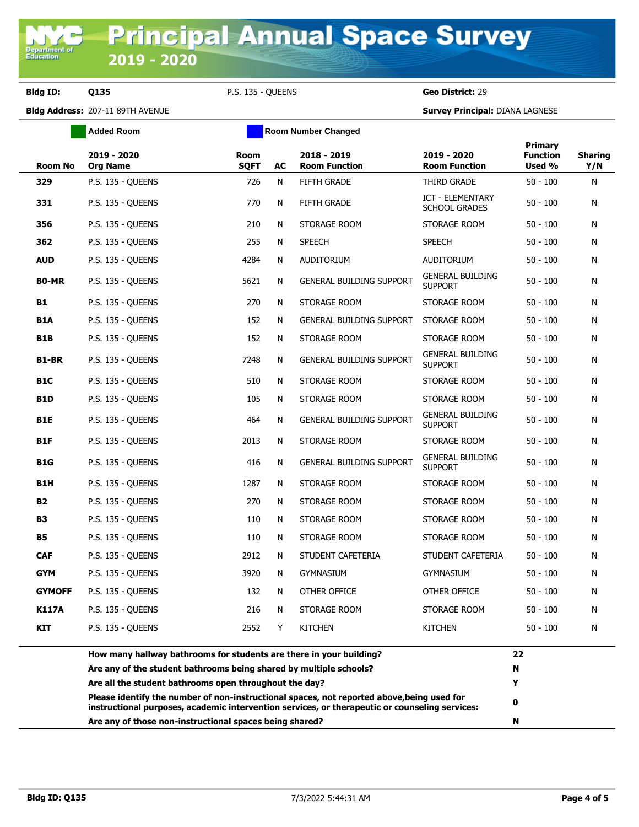**Bldg ID: Q135** P.S. 135 - QUEENS **Geo District:** 29

|                  | <b>Added Room</b>                                                                                                                                                                            |                            |    | Room Number Changed                 |                                                 |                                      |                       |
|------------------|----------------------------------------------------------------------------------------------------------------------------------------------------------------------------------------------|----------------------------|----|-------------------------------------|-------------------------------------------------|--------------------------------------|-----------------------|
| <b>Room No</b>   | 2019 - 2020<br><b>Org Name</b>                                                                                                                                                               | <b>Room</b><br><b>SQFT</b> | AC | 2018 - 2019<br><b>Room Function</b> | 2019 - 2020<br><b>Room Function</b>             | Primary<br><b>Function</b><br>Used % | <b>Sharing</b><br>Y/N |
| 329              | P.S. 135 - QUEENS                                                                                                                                                                            | 726                        | N  | <b>FIFTH GRADE</b>                  | THIRD GRADE                                     | $50 - 100$                           | N                     |
| 331              | P.S. 135 - QUEENS                                                                                                                                                                            | 770                        | N  | FIFTH GRADE                         | <b>ICT - ELEMENTARY</b><br><b>SCHOOL GRADES</b> | $50 - 100$                           | N                     |
| 356              | P.S. 135 - QUEENS                                                                                                                                                                            | 210                        | N  | STORAGE ROOM                        | STORAGE ROOM                                    | 50 - 100                             | N                     |
| 362              | P.S. 135 - QUEENS                                                                                                                                                                            | 255                        | N  | <b>SPEECH</b>                       | <b>SPEECH</b>                                   | $50 - 100$                           | N                     |
| <b>AUD</b>       | P.S. 135 - QUEENS                                                                                                                                                                            | 4284                       | N  | AUDITORIUM                          | <b>AUDITORIUM</b>                               | $50 - 100$                           | N                     |
| <b>BO-MR</b>     | P.S. 135 - QUEENS                                                                                                                                                                            | 5621                       | N  | <b>GENERAL BUILDING SUPPORT</b>     | <b>GENERAL BUILDING</b><br><b>SUPPORT</b>       | $50 - 100$                           | N                     |
| B1               | P.S. 135 - QUEENS                                                                                                                                                                            | 270                        | N  | STORAGE ROOM                        | STORAGE ROOM                                    | $50 - 100$                           | N                     |
| <b>B1A</b>       | P.S. 135 - QUEENS                                                                                                                                                                            | 152                        | N  | <b>GENERAL BUILDING SUPPORT</b>     | STORAGE ROOM                                    | $50 - 100$                           | N                     |
| <b>B1B</b>       | P.S. 135 - QUEENS                                                                                                                                                                            | 152                        | N  | STORAGE ROOM                        | STORAGE ROOM                                    | $50 - 100$                           | N                     |
| B1-BR            | P.S. 135 - QUEENS                                                                                                                                                                            | 7248                       | N  | <b>GENERAL BUILDING SUPPORT</b>     | <b>GENERAL BUILDING</b><br><b>SUPPORT</b>       | $50 - 100$                           | N                     |
| B1C              | P.S. 135 - QUEENS                                                                                                                                                                            | 510                        | N  | STORAGE ROOM                        | STORAGE ROOM                                    | $50 - 100$                           | N                     |
| <b>B1D</b>       | P.S. 135 - QUEENS                                                                                                                                                                            | 105                        | N  | STORAGE ROOM                        | STORAGE ROOM                                    | 50 - 100                             | N                     |
| B1E              | P.S. 135 - QUEENS                                                                                                                                                                            | 464                        | N  | <b>GENERAL BUILDING SUPPORT</b>     | GENERAL BUILDING<br><b>SUPPORT</b>              | $50 - 100$                           | N                     |
| B <sub>1</sub> F | P.S. 135 - QUEENS                                                                                                                                                                            | 2013                       | N  | STORAGE ROOM                        | STORAGE ROOM                                    | 50 - 100                             | N                     |
| <b>B1G</b>       | P.S. 135 - QUEENS                                                                                                                                                                            | 416                        | N  | <b>GENERAL BUILDING SUPPORT</b>     | <b>GENERAL BUILDING</b><br><b>SUPPORT</b>       | 50 - 100                             | N                     |
| B1H              | P.S. 135 - QUEENS                                                                                                                                                                            | 1287                       | N  | STORAGE ROOM                        | STORAGE ROOM                                    | $50 - 100$                           | N                     |
| <b>B2</b>        | P.S. 135 - QUEENS                                                                                                                                                                            | 270                        | N  | STORAGE ROOM                        | STORAGE ROOM                                    | $50 - 100$                           | N                     |
| <b>B3</b>        | P.S. 135 - QUEENS                                                                                                                                                                            | 110                        | N  | STORAGE ROOM                        | STORAGE ROOM                                    | 50 - 100                             | N                     |
| <b>B5</b>        | P.S. 135 - QUEENS                                                                                                                                                                            | 110                        | N  | STORAGE ROOM                        | STORAGE ROOM                                    | $50 - 100$                           | N                     |
| <b>CAF</b>       | P.S. 135 - OUEENS                                                                                                                                                                            | 2912                       | N  | STUDENT CAFETERIA                   | STUDENT CAFETERIA                               | 50 - 100                             | N                     |
| <b>GYM</b>       | P.S. 135 - OUEENS                                                                                                                                                                            | 3920                       | N  | <b>GYMNASIUM</b>                    | <b>GYMNASIUM</b>                                | 50 - 100                             | N                     |
| <b>GYMOFF</b>    | P.S. 135 - QUEENS                                                                                                                                                                            | 132                        | N  | OTHER OFFICE                        | OTHER OFFICE                                    | 50 - 100                             | N                     |
| K117A            | <b>P.S. 135 - QUEENS</b>                                                                                                                                                                     | 216                        | N  | STORAGE ROOM                        | STORAGE ROOM                                    | $50 - 100$                           | N                     |
| KIT              | <b>P.S. 135 - QUEENS</b>                                                                                                                                                                     | 2552                       | Y  | <b>KITCHEN</b>                      | <b>KITCHEN</b>                                  | 50 - 100                             | N                     |
|                  | How many hallway bathrooms for students are there in your building?                                                                                                                          |                            |    |                                     |                                                 | 22                                   |                       |
|                  | Are any of the student bathrooms being shared by multiple schools?                                                                                                                           |                            |    |                                     |                                                 | N                                    |                       |
|                  | Are all the student bathrooms open throughout the day?                                                                                                                                       |                            |    |                                     |                                                 | Y                                    |                       |
|                  | Please identify the number of non-instructional spaces, not reported above, being used for<br>instructional purposes, academic intervention services, or therapeutic or counseling services: |                            |    |                                     |                                                 | 0                                    |                       |
|                  | Are any of those non-instructional spaces being shared?                                                                                                                                      |                            |    |                                     |                                                 | N                                    |                       |